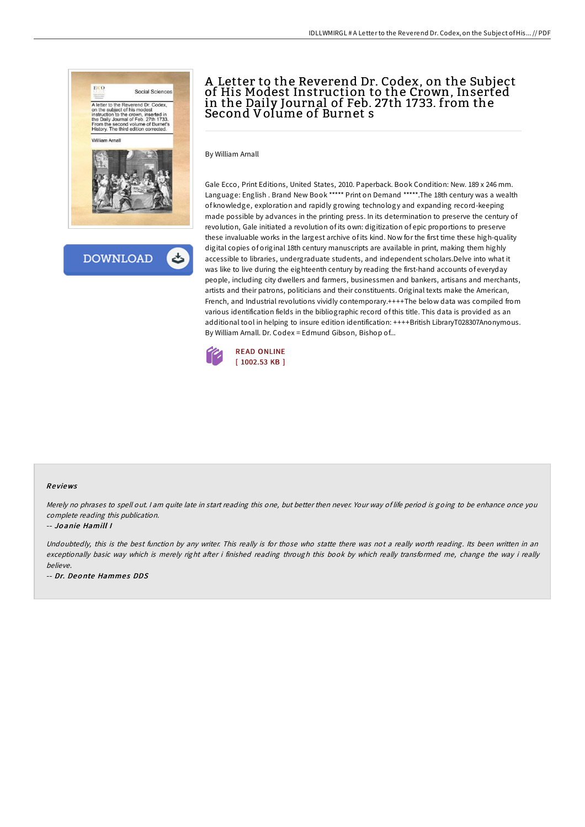

**DOWNLOAD** 

## A Letter to the Reverend Dr. Codex, on the Subject of His Modest Instruction to the Crown, Inserted in the Daily Journal of Feb. 27th 1733. from the Second Volume of Burnet s

By William Arnall

Gale Ecco, Print Editions, United States, 2010. Paperback. Book Condition: New. 189 x 246 mm. Language: English . Brand New Book \*\*\*\*\* Print on Demand \*\*\*\*\*.The 18th century was a wealth of knowledge, exploration and rapidly growing technology and expanding record-keeping made possible by advances in the printing press. In its determination to preserve the century of revolution, Gale initiated a revolution of its own: digitization of epic proportions to preserve these invaluable works in the largest archive of its kind. Now for the first time these high-quality digital copies of original 18th century manuscripts are available in print, making them highly accessible to libraries, undergraduate students, and independent scholars.Delve into what it was like to live during the eighteenth century by reading the first-hand accounts of everyday people, including city dwellers and farmers, businessmen and bankers, artisans and merchants, artists and their patrons, politicians and their constituents. Original texts make the American, French, and Industrial revolutions vividly contemporary.++++The below data was compiled from various identification fields in the bibliographic record of this title. This data is provided as an additional tool in helping to insure edition identification: ++++British LibraryT028307Anonymous. By William Arnall. Dr. Codex = Edmund Gibson, Bishop of...



## Re views

Merely no phrases to spell out. <sup>I</sup> am quite late in start reading this one, but better then never. Your way of life period is going to be enhance once you complete reading this publication.

## -- Jo anie Hamill I

Undoubtedly, this is the best function by any writer. This really is for those who statte there was not <sup>a</sup> really worth reading. Its been written in an exceptionally basic way which is merely right after i finished reading through this book by which really transformed me, change the way i really believe.

-- Dr. Deonte Hammes DDS